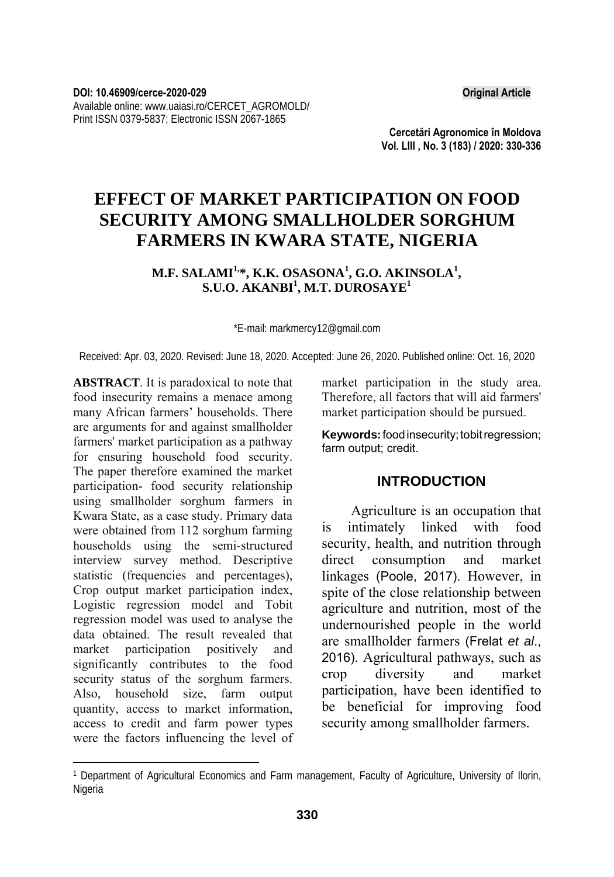**Cercetări Agronomice în Moldova Vol. LIII , No. 3 (183) / 2020: 330-336** 

# **EFFECT OF MARKET PARTICIPATION ON FOOD SECURITY AMONG SMALLHOLDER SORGHUM FARMERS IN KWARA STATE, NIGERIA**

**M.F. SALAMI1,\*, K.K. OSASONA1 , G.O. AKINSOLA<sup>1</sup> ,**   $\mathbf{S}.\mathbf{U}.\mathbf{O}.$   $\mathbf{AKANBI}^{1}, \mathbf{M.T.}$   $\mathbf{DUROSAYE}^{1}$ 

\*E-mail: markmercy12@gmail.com

Received: Apr. 03, 2020. Revised: June 18, 2020. Accepted: June 26, 2020. Published online: Oct. 16, 2020

**ABSTRACT**. It is paradoxical to note that food insecurity remains a menace among many African farmers' households. There are arguments for and against smallholder farmers' market participation as a pathway for ensuring household food security. The paper therefore examined the market participation- food security relationship using smallholder sorghum farmers in Kwara State, as a case study. Primary data were obtained from 112 sorghum farming households using the semi-structured interview survey method. Descriptive statistic (frequencies and percentages), Crop output market participation index, Logistic regression model and Tobit regression model was used to analyse the data obtained. The result revealed that market participation positively and significantly contributes to the food security status of the sorghum farmers. Also, household size, farm output quantity, access to market information, access to credit and farm power types were the factors influencing the level of

l

market participation in the study area. Therefore, all factors that will aid farmers' market participation should be pursued.

**Keywords:** food insecurity; tobit regression; farm output; credit.

# **INTRODUCTION**

Agriculture is an occupation that is intimately linked with food security, health, and nutrition through direct consumption and market linkages (Poole, 2017). However, in spite of the close relationship between agriculture and nutrition, most of the undernourished people in the world are smallholder farmers (Frelat *et al*., 2016). Agricultural pathways, such as crop diversity and market participation, have been identified to be beneficial for improving food security among smallholder farmers.

<sup>1</sup> Department of Agricultural Economics and Farm management, Faculty of Agriculture, University of Ilorin, **Nigeria**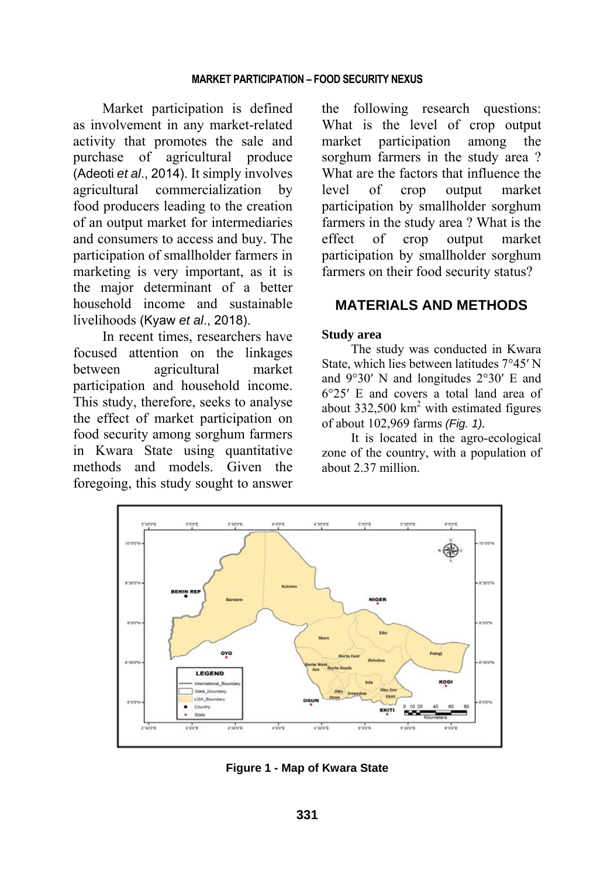Market participation is defined as involvement in any market-related activity that promotes the sale and purchase of agricultural produce (Adeoti *et al*., 2014). It simply involves agricultural commercialization by food producers leading to the creation of an output market for intermediaries and consumers to access and buy. The participation of smallholder farmers in marketing is very important, as it is the major determinant of a better household income and sustainable livelihoods (Kyaw *et al*., 2018).

In recent times, researchers have focused attention on the linkages between agricultural market participation and household income. This study, therefore, seeks to analyse the effect of market participation on food security among sorghum farmers in Kwara State using quantitative methods and models. Given the foregoing, this study sought to answer

the following research questions: What is the level of crop output market participation among the sorghum farmers in the study area ? What are the factors that influence the level of crop output market participation by smallholder sorghum farmers in the study area ? What is the effect of crop output market participation by smallholder sorghum farmers on their food security status?

# **MATERIALS AND METHODS**

# **Study area**

The study was conducted in Kwara State, which lies between latitudes 7°45′ N and 9°30′ N and longitudes 2°30′ E and 6°25′ E and covers a total land area of about  $332,500 \text{ km}^2$  with estimated figures of about 102,969 farms *(Fig. 1).* 

It is located in the agro-ecological zone of the country, with a population of about 2.37 million.



**Figure 1 - Map of Kwara State**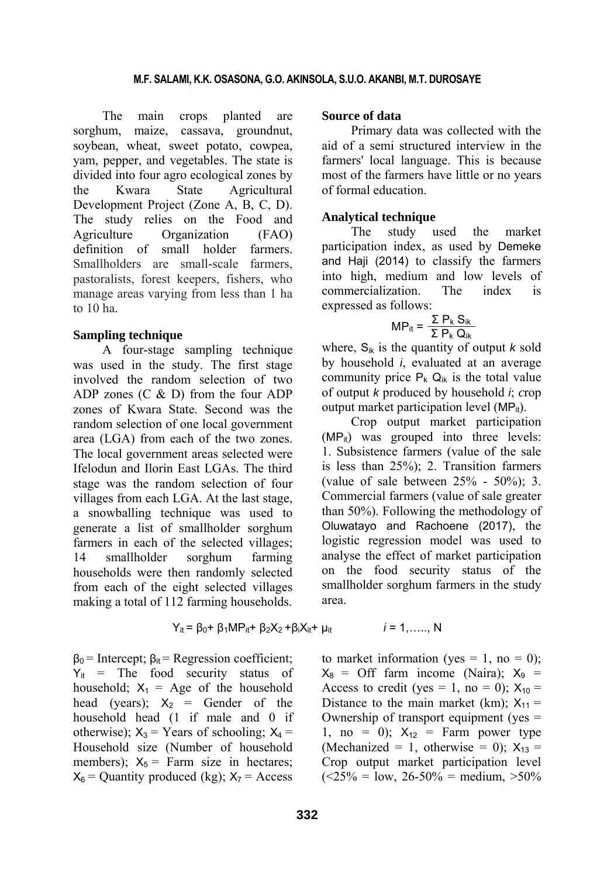The main crops planted are sorghum, maize, cassava, groundnut, soybean, wheat, sweet potato, cowpea, yam, pepper, and vegetables. The state is divided into four agro ecological zones by the Kwara State Agricultural Development Project (Zone A, B, C, D). The study relies on the Food and Agriculture Organization (FAO) definition of small holder farmers Smallholders are small-scale farmers pastoralists, forest keepers, fishers, who manage areas varying from less than 1 ha to 10 ha.

#### **Sampling technique**

A four-stage sampling technique was used in the study. The first stage involved the random selection of two ADP zones (C & D) from the four ADP zones of Kwara State. Second was the random selection of one local government area (LGA) from each of the two zones. The local government areas selected were Ifelodun and Ilorin East LGAs. The third stage was the random selection of four villages from each LGA. At the last stage, a snowballing technique was used to generate a list of smallholder sorghum farmers in each of the selected villages; 14 smallholder sorghum farming households were then randomly selected from each of the eight selected villages making a total of 112 farming households.

$$
Y_{it} = \beta_0 + \beta_1 MP_{it} + \beta_2 X_2 + \beta_i X_{it} + \mu_{it}
$$

 $\beta_0$  = Intercept;  $\beta_{it}$  = Regression coefficient;  $Y_{it}$  = The food security status of household;  $X_1 = \text{Age}$  of the household head (years);  $X_2 =$  Gender of the household head (1 if male and 0 if otherwise);  $X_3$  = Years of schooling;  $X_4$  = Household size (Number of household members);  $X_5$  = Farm size in hectares;  $X_6$  = Quantity produced (kg):  $X_7$  = Access

#### **Source of data**

Primary data was collected with the aid of a semi structured interview in the farmers' local language. This is because most of the farmers have little or no years of formal education.

#### **Analytical technique**

The study used the market participation index, as used by Demeke and Haji (2014) to classify the farmers into high, medium and low levels of commercialization. The index is expressed as follows:

$$
MP_{it} = \frac{\sum P_k S_{ik}}{\sum P_k Q_{ik}}
$$

where,  $S_{ik}$  is the quantity of output *k* sold by household *i*, evaluated at an average community price  $P_k Q_{ik}$  is the total value of output *k* produced by household *i*; *c*rop output market participation level (MP<sub>it</sub>).

Crop output market participation  $(MP_{it})$  was grouped into three levels: 1. Subsistence farmers (value of the sale is less than 25%); 2. Transition farmers (value of sale between  $25% - 50%$ ); 3. Commercial farmers (value of sale greater than 50%). Following the methodology of Oluwatayo and Rachoene (2017), the logistic regression model was used to analyse the effect of market participation on the food security status of the smallholder sorghum farmers in the study area.

to market information (yes = 1, no = 0);  $X_8$  = Off farm income (Naira);  $X_9$  = Access to credit (yes = 1, no = 0);  $X_{10}$  = Distance to the main market (km);  $X_{11} =$ Ownership of transport equipment (yes = 1, no = 0);  $X_{12}$  = Farm power type (Mechanized = 1, otherwise = 0);  $X_{13}$  = Crop output market participation level  $(<25\% = 1$ ow,  $26-50\% =$  medium,  $>50\%$ 

 $i = 1, \ldots, N$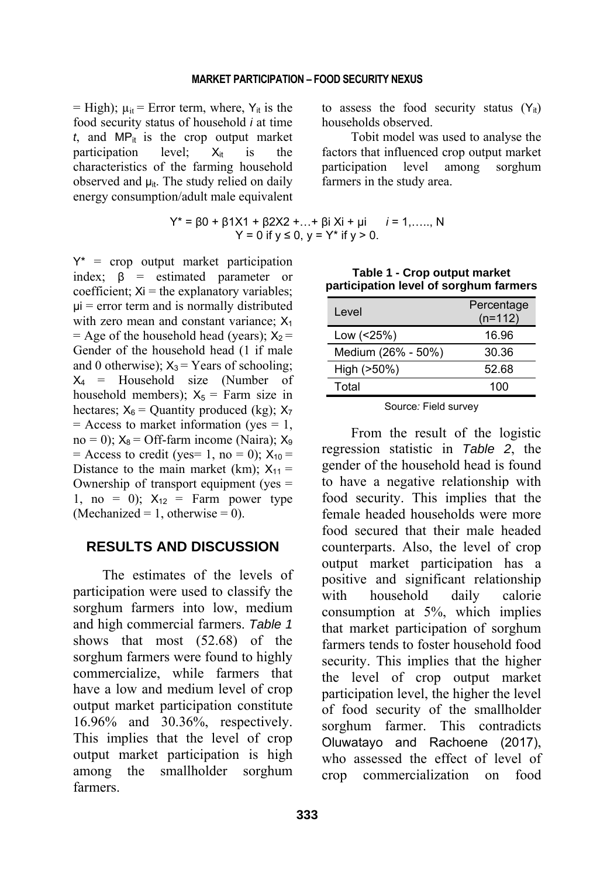= High);  $\mu_{it}$  = Error term, where,  $Y_{it}$  is the food security status of household *i* at time  $t$ , and MP<sub>it</sub> is the crop output market participation level;  $X_{it}$  is the characteristics of the farming household observed and  $\mu_{it}$ . The study relied on daily energy consumption/adult male equivalent

$$
Y^* = \beta 0 + \beta 1X1 + \beta 2X2 + ... + \beta i Xi + \mu i \qquad i = 1, ...
$$
  
 
$$
Y = 0 \text{ if } y \le 0, y = Y^* \text{ if } y > 0.
$$

 $Y^*$  = crop output market participation index; β = estimated parameter or coefficient;  $Xi =$  the explanatory variables;  $\mu$ i = error term and is normally distributed with zero mean and constant variance;  $X_1$  $=$  Age of the household head (years);  $X_2 =$ Gender of the household head (1 if male and 0 otherwise);  $X_3$  = Years of schooling;  $X_4$  = Household size (Number of household members);  $X_5$  = Farm size in hectares;  $X_6$  = Quantity produced (kg);  $X_7$  $=$  Access to market information (yes  $= 1$ , no = 0);  $X_8$  = Off-farm income (Naira);  $X_9$ = Access to credit (yes= 1, no = 0);  $X_{10}$  = Distance to the main market (km);  $X_{11} =$ Ownership of transport equipment (yes = 1, no = 0);  $X_{12}$  = Farm power type (Mechanized = 1, otherwise = 0).

### **RESULTS AND DISCUSSION**

The estimates of the levels of participation were used to classify the sorghum farmers into low, medium and high commercial farmers. *Table 1* shows that most (52.68) of the sorghum farmers were found to highly commercialize, while farmers that have a low and medium level of crop output market participation constitute 16.96% and 30.36%, respectively. This implies that the level of crop output market participation is high among the smallholder sorghum farmers.

to assess the food security status  $(Y_{it})$ households observed.

Tobit model was used to analyse the factors that influenced crop output market participation level among sorghum farmers in the study area.

$$
Y^* = \beta 0 + \beta 1X1 + \beta 2X2 + ... + \beta i Xi + \mu i \qquad i = 1, ...., N
$$
  
Y = 0 if y \le 0, y = Y^\* if y > 0.

| <b>Participation is for or our griding railiers</b> |                         |  |  |
|-----------------------------------------------------|-------------------------|--|--|
| Level                                               | Percentage<br>$(n=112)$ |  |  |
| Low (<25%)                                          | 16.96                   |  |  |
| Medium (26% - 50%)                                  | 30.36                   |  |  |
| High (>50%)                                         | 52.68                   |  |  |
| Total                                               | 100                     |  |  |
|                                                     |                         |  |  |

**Table 1 - Crop output market participation level of sorghum farmers**

Source*:* Field survey

From the result of the logistic regression statistic in *Table 2*, the gender of the household head is found to have a negative relationship with food security. This implies that the female headed households were more food secured that their male headed counterparts. Also, the level of crop output market participation has a positive and significant relationship with household daily calorie consumption at 5%, which implies that market participation of sorghum farmers tends to foster household food security. This implies that the higher the level of crop output market participation level, the higher the level of food security of the smallholder sorghum farmer. This contradicts Oluwatayo and Rachoene (2017), who assessed the effect of level of crop commercialization on food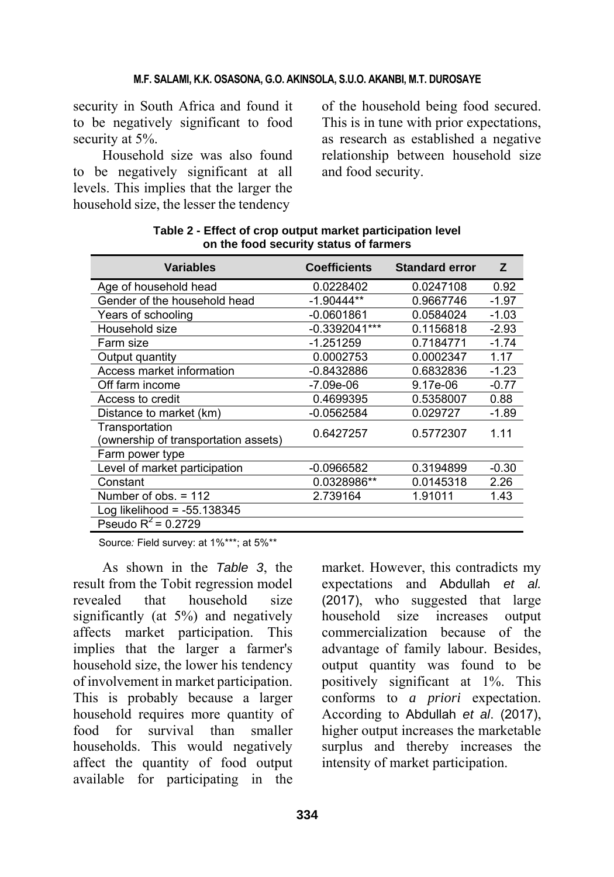security in South Africa and found it to be negatively significant to food security at 5%.

Household size was also found to be negatively significant at all levels. This implies that the larger the household size, the lesser the tendency

of the household being food secured. This is in tune with prior expectations, as research as established a negative relationship between household size and food security.

| <b>Variables</b>                                       | <b>Coefficients</b> | <b>Standard error</b> | Z       |
|--------------------------------------------------------|---------------------|-----------------------|---------|
| Age of household head                                  | 0.0228402           | 0.0247108             | 0.92    |
| Gender of the household head                           | $-1.90444**$        | 0.9667746             | $-1.97$ |
| Years of schooling                                     | $-0.0601861$        | 0.0584024             | $-1.03$ |
| Household size                                         | $-0.3392041***$     | 0.1156818             | $-2.93$ |
| Farm size                                              | $-1.251259$         | 0.7184771             | $-1.74$ |
| Output quantity                                        | 0.0002753           | 0.0002347             | 1.17    |
| Access market information                              | $-0.8432886$        | 0.6832836             | $-1.23$ |
| Off farm income                                        | -7.09e-06           | 9.17e-06              | $-0.77$ |
| Access to credit                                       | 0.4699395           | 0.5358007             | 0.88    |
| Distance to market (km)                                | $-0.0562584$        | 0.029727              | $-1.89$ |
| Transportation<br>(ownership of transportation assets) | 0.6427257           | 0.5772307             | 1.11    |
| Farm power type                                        |                     |                       |         |
| Level of market participation                          | $-0.0966582$        | 0.3194899             | $-0.30$ |
| Constant                                               | 0.0328986**         | 0.0145318             | 2.26    |
| Number of $obs. = 112$                                 | 2.739164            | 1.91011               | 1.43    |
| Log likelihood = $-55.138345$                          |                     |                       |         |
| Pseudo $R^2 = 0.2729$                                  |                     |                       |         |

**Table 2 - Effect of crop output market participation level on the food security status of farmers** 

Source: Field survey: at 1%\*\*\*; at 5%\*\*

As shown in the *Table 3*, the result from the Tobit regression model revealed that household size significantly (at 5%) and negatively affects market participation. This implies that the larger a farmer's household size, the lower his tendency of involvement in market participation. This is probably because a larger household requires more quantity of food for survival than smaller households. This would negatively affect the quantity of food output available for participating in the

market. However, this contradicts my expectations and Abdullah *et al.* (2017), who suggested that large household size increases output commercialization because of the advantage of family labour. Besides, output quantity was found to be positively significant at 1%. This conforms to *a priori* expectation. According to Abdullah *et al*. (2017), higher output increases the marketable surplus and thereby increases the intensity of market participation.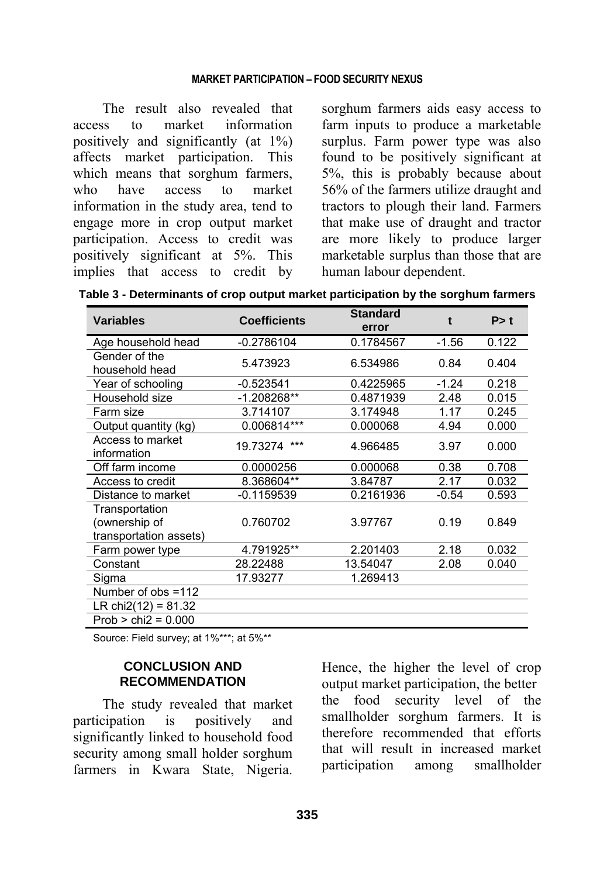#### **MARKET PARTICIPATION – FOOD SECURITY NEXUS**

The result also revealed that access to market information positively and significantly (at 1%) affects market participation. This which means that sorghum farmers, who have access to market information in the study area, tend to engage more in crop output market participation. Access to credit was positively significant at 5%. This implies that access to credit by sorghum farmers aids easy access to farm inputs to produce a marketable surplus. Farm power type was also found to be positively significant at 5%, this is probably because about 56% of the farmers utilize draught and tractors to plough their land. Farmers that make use of draught and tractor are more likely to produce larger marketable surplus than those that are human labour dependent.

| Table 3 - Determinants of crop output market participation by the sorghum farmers |  |  |  |  |
|-----------------------------------------------------------------------------------|--|--|--|--|
|-----------------------------------------------------------------------------------|--|--|--|--|

| <b>Variables</b>                                          | <b>Coefficients</b> | <b>Standard</b><br>error | t       | P > t |
|-----------------------------------------------------------|---------------------|--------------------------|---------|-------|
| Age household head                                        | $-0.2786104$        | 0.1784567                | $-1.56$ | 0.122 |
| Gender of the<br>household head                           | 5.473923            | 6.534986                 | 0.84    | 0.404 |
| Year of schooling                                         | $-0.523541$         | 0.4225965                | $-1.24$ | 0.218 |
| Household size                                            | $-1.208268**$       | 0.4871939                | 2.48    | 0.015 |
| Farm size                                                 | 3.714107            | 3.174948                 | 1.17    | 0.245 |
| Output quantity (kg)                                      | 0.006814***         | 0.000068                 | 4.94    | 0.000 |
| Access to market<br>information                           | ***<br>19.73274     | 4.966485                 | 3.97    | 0.000 |
| Off farm income                                           | 0.0000256           | 0.000068                 | 0.38    | 0.708 |
| Access to credit                                          | 8.368604**          | 3.84787                  | 2.17    | 0.032 |
| Distance to market                                        | -0.1159539          | 0.2161936                | $-0.54$ | 0.593 |
| Transportation<br>(ownership of<br>transportation assets) | 0.760702            | 3.97767                  | 0.19    | 0.849 |
| Farm power type                                           | 4.791925**          | 2.201403                 | 2.18    | 0.032 |
| Constant                                                  | 28.22488            | 13.54047                 | 2.08    | 0.040 |
| Sigma                                                     | 17.93277            | 1.269413                 |         |       |
| Number of $obs = 112$                                     |                     |                          |         |       |
| LR chi2(12) = $81.32$                                     |                     |                          |         |       |
| $Prob > chi2 = 0.000$                                     |                     |                          |         |       |

Source: Field survey; at 1%\*\*\*; at 5%\*\*

### **CONCLUSION AND RECOMMENDATION**

The study revealed that market participation is positively and significantly linked to household food security among small holder sorghum farmers in Kwara State, Nigeria.

Hence, the higher the level of crop output market participation, the better the food security level of the smallholder sorghum farmers. It is therefore recommended that efforts that will result in increased market participation among smallholder